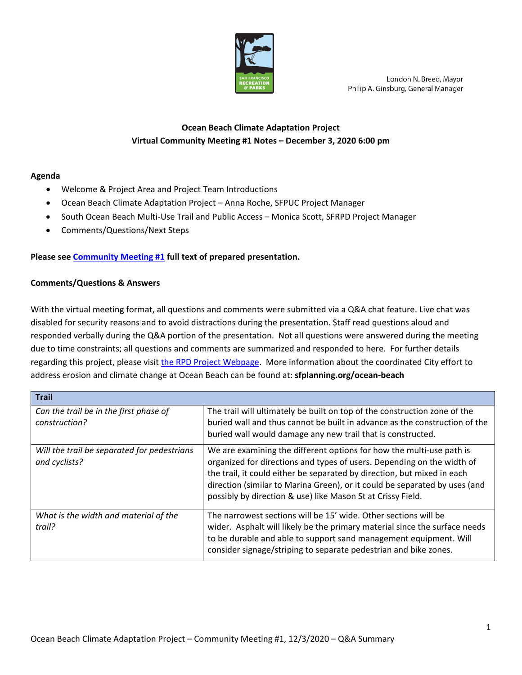

London N. Breed, Mayor Philip A. Ginsburg, General Manager

## **Ocean Beach Climate Adaptation Project Virtual Community Meeting #1 Notes – December 3, 2020 6:00 pm**

## **Agenda**

- Welcome & Project Area and Project Team Introductions
- Ocean Beach Climate Adaptation Project Anna Roche, SFPUC Project Manager
- South Ocean Beach Multi-Use Trail and Public Access Monica Scott, SFRPD Project Manager
- Comments/Questions/Next Steps

## **Please see [Community Meeting #1](https://sfrecpark.org/DocumentCenter/View/15876/South-Ocean-Beach-Community-Meeting-1--12032020) full text of prepared presentation.**

## **Comments/Questions & Answers**

With the virtual meeting format, all questions and comments were submitted via a Q&A chat feature. Live chat was disabled for security reasons and to avoid distractions during the presentation. Staff read questions aloud and responded verbally during the Q&A portion of the presentation. Not all questions were answered during the meeting due to time constraints; all questions and comments are summarized and responded to here. For further details regarding this project, please visit [the RPD Project Webpage.](https://sfrecpark.org/1172/Ocean-Beach-Climate-Adaptation-Project) More information about the coordinated City effort to address erosion and climate change at Ocean Beach can be found at: **sfplanning.org/ocean-beach**

| <b>Trail</b>                                                 |                                                                                                                                                                                                                                                                                                                                                                        |
|--------------------------------------------------------------|------------------------------------------------------------------------------------------------------------------------------------------------------------------------------------------------------------------------------------------------------------------------------------------------------------------------------------------------------------------------|
| Can the trail be in the first phase of<br>construction?      | The trail will ultimately be built on top of the construction zone of the<br>buried wall and thus cannot be built in advance as the construction of the<br>buried wall would damage any new trail that is constructed.                                                                                                                                                 |
| Will the trail be separated for pedestrians<br>and cyclists? | We are examining the different options for how the multi-use path is<br>organized for directions and types of users. Depending on the width of<br>the trail, it could either be separated by direction, but mixed in each<br>direction (similar to Marina Green), or it could be separated by uses (and<br>possibly by direction & use) like Mason St at Crissy Field. |
| What is the width and material of the<br>trail?              | The narrowest sections will be 15' wide. Other sections will be<br>wider. Asphalt will likely be the primary material since the surface needs<br>to be durable and able to support sand management equipment. Will<br>consider signage/striping to separate pedestrian and bike zones.                                                                                 |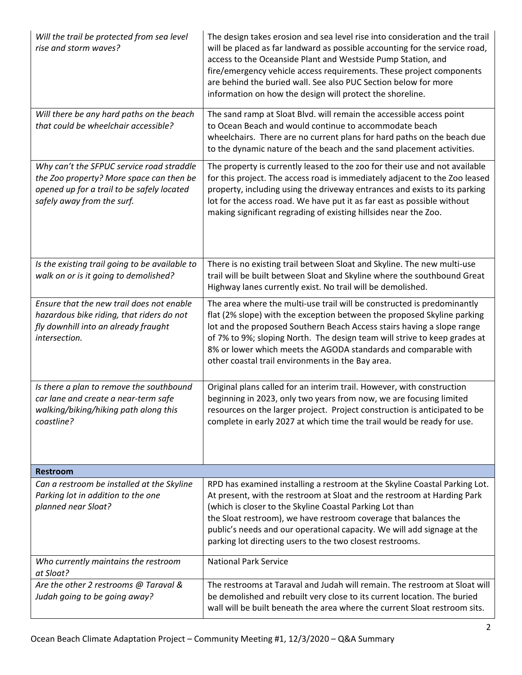| Will the trail be protected from sea level<br>rise and storm waves?                                                                                               | The design takes erosion and sea level rise into consideration and the trail<br>will be placed as far landward as possible accounting for the service road,<br>access to the Oceanside Plant and Westside Pump Station, and<br>fire/emergency vehicle access requirements. These project components<br>are behind the buried wall. See also PUC Section below for more<br>information on how the design will protect the shoreline. |
|-------------------------------------------------------------------------------------------------------------------------------------------------------------------|-------------------------------------------------------------------------------------------------------------------------------------------------------------------------------------------------------------------------------------------------------------------------------------------------------------------------------------------------------------------------------------------------------------------------------------|
| Will there be any hard paths on the beach<br>that could be wheelchair accessible?                                                                                 | The sand ramp at Sloat Blvd. will remain the accessible access point<br>to Ocean Beach and would continue to accommodate beach<br>wheelchairs. There are no current plans for hard paths on the beach due<br>to the dynamic nature of the beach and the sand placement activities.                                                                                                                                                  |
| Why can't the SFPUC service road straddle<br>the Zoo property? More space can then be<br>opened up for a trail to be safely located<br>safely away from the surf. | The property is currently leased to the zoo for their use and not available<br>for this project. The access road is immediately adjacent to the Zoo leased<br>property, including using the driveway entrances and exists to its parking<br>lot for the access road. We have put it as far east as possible without<br>making significant regrading of existing hillsides near the Zoo.                                             |
| Is the existing trail going to be available to<br>walk on or is it going to demolished?                                                                           | There is no existing trail between Sloat and Skyline. The new multi-use<br>trail will be built between Sloat and Skyline where the southbound Great<br>Highway lanes currently exist. No trail will be demolished.                                                                                                                                                                                                                  |
| Ensure that the new trail does not enable<br>hazardous bike riding, that riders do not<br>fly downhill into an already fraught<br>intersection.                   | The area where the multi-use trail will be constructed is predominantly<br>flat (2% slope) with the exception between the proposed Skyline parking<br>lot and the proposed Southern Beach Access stairs having a slope range<br>of 7% to 9%; sloping North. The design team will strive to keep grades at<br>8% or lower which meets the AGODA standards and comparable with<br>other coastal trail environments in the Bay area.   |
| Is there a plan to remove the southbound<br>car lane and create a near-term safe<br>walking/biking/hiking path along this<br>coastline?                           | Original plans called for an interim trail. However, with construction<br>beginning in 2023, only two years from now, we are focusing limited<br>resources on the larger project. Project construction is anticipated to be<br>complete in early 2027 at which time the trail would be ready for use.                                                                                                                               |
| <b>Restroom</b>                                                                                                                                                   |                                                                                                                                                                                                                                                                                                                                                                                                                                     |
| Can a restroom be installed at the Skyline<br>Parking lot in addition to the one<br>planned near Sloat?                                                           | RPD has examined installing a restroom at the Skyline Coastal Parking Lot.<br>At present, with the restroom at Sloat and the restroom at Harding Park<br>(which is closer to the Skyline Coastal Parking Lot than<br>the Sloat restroom), we have restroom coverage that balances the<br>public's needs and our operational capacity. We will add signage at the<br>parking lot directing users to the two closest restrooms.       |
| Who currently maintains the restroom<br>at Sloat?                                                                                                                 | <b>National Park Service</b>                                                                                                                                                                                                                                                                                                                                                                                                        |
| Are the other 2 restrooms @ Taraval &<br>Judah going to be going away?                                                                                            | The restrooms at Taraval and Judah will remain. The restroom at Sloat will<br>be demolished and rebuilt very close to its current location. The buried<br>wall will be built beneath the area where the current Sloat restroom sits.                                                                                                                                                                                                |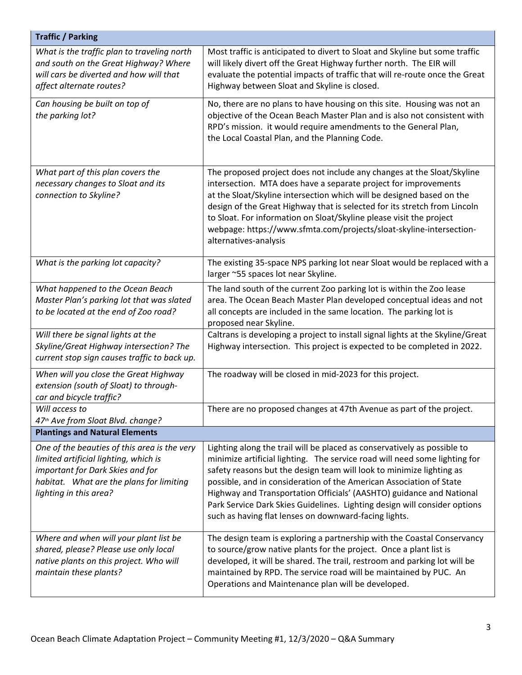| <b>Traffic / Parking</b>                                                                                                                                                                        |                                                                                                                                                                                                                                                                                                                                                                                                                                                                                                                     |  |
|-------------------------------------------------------------------------------------------------------------------------------------------------------------------------------------------------|---------------------------------------------------------------------------------------------------------------------------------------------------------------------------------------------------------------------------------------------------------------------------------------------------------------------------------------------------------------------------------------------------------------------------------------------------------------------------------------------------------------------|--|
| What is the traffic plan to traveling north<br>and south on the Great Highway? Where<br>will cars be diverted and how will that<br>affect alternate routes?                                     | Most traffic is anticipated to divert to Sloat and Skyline but some traffic<br>will likely divert off the Great Highway further north. The EIR will<br>evaluate the potential impacts of traffic that will re-route once the Great<br>Highway between Sloat and Skyline is closed.                                                                                                                                                                                                                                  |  |
| Can housing be built on top of<br>the parking lot?                                                                                                                                              | No, there are no plans to have housing on this site. Housing was not an<br>objective of the Ocean Beach Master Plan and is also not consistent with<br>RPD's mission. it would require amendments to the General Plan,<br>the Local Coastal Plan, and the Planning Code.                                                                                                                                                                                                                                            |  |
| What part of this plan covers the<br>necessary changes to Sloat and its<br>connection to Skyline?                                                                                               | The proposed project does not include any changes at the Sloat/Skyline<br>intersection. MTA does have a separate project for improvements<br>at the Sloat/Skyline intersection which will be designed based on the<br>design of the Great Highway that is selected for its stretch from Lincoln<br>to Sloat. For information on Sloat/Skyline please visit the project<br>webpage: https://www.sfmta.com/projects/sloat-skyline-intersection-<br>alternatives-analysis                                              |  |
| What is the parking lot capacity?                                                                                                                                                               | The existing 35-space NPS parking lot near Sloat would be replaced with a<br>larger ~55 spaces lot near Skyline.                                                                                                                                                                                                                                                                                                                                                                                                    |  |
| What happened to the Ocean Beach<br>Master Plan's parking lot that was slated<br>to be located at the end of Zoo road?                                                                          | The land south of the current Zoo parking lot is within the Zoo lease<br>area. The Ocean Beach Master Plan developed conceptual ideas and not<br>all concepts are included in the same location. The parking lot is<br>proposed near Skyline.                                                                                                                                                                                                                                                                       |  |
| Will there be signal lights at the<br>Skyline/Great Highway intersection? The<br>current stop sign causes traffic to back up.                                                                   | Caltrans is developing a project to install signal lights at the Skyline/Great<br>Highway intersection. This project is expected to be completed in 2022.                                                                                                                                                                                                                                                                                                                                                           |  |
| When will you close the Great Highway<br>extension (south of Sloat) to through-<br>car and bicycle traffic?                                                                                     | The roadway will be closed in mid-2023 for this project.                                                                                                                                                                                                                                                                                                                                                                                                                                                            |  |
| Will access to<br>47th Ave from Sloat Blvd. change?                                                                                                                                             | There are no proposed changes at 47th Avenue as part of the project.                                                                                                                                                                                                                                                                                                                                                                                                                                                |  |
| <b>Plantings and Natural Elements</b>                                                                                                                                                           |                                                                                                                                                                                                                                                                                                                                                                                                                                                                                                                     |  |
| One of the beauties of this area is the very<br>limited artificial lighting, which is<br>important for Dark Skies and for<br>habitat. What are the plans for limiting<br>lighting in this area? | Lighting along the trail will be placed as conservatively as possible to<br>minimize artificial lighting. The service road will need some lighting for<br>safety reasons but the design team will look to minimize lighting as<br>possible, and in consideration of the American Association of State<br>Highway and Transportation Officials' (AASHTO) guidance and National<br>Park Service Dark Skies Guidelines. Lighting design will consider options<br>such as having flat lenses on downward-facing lights. |  |
| Where and when will your plant list be<br>shared, please? Please use only local<br>native plants on this project. Who will<br>maintain these plants?                                            | The design team is exploring a partnership with the Coastal Conservancy<br>to source/grow native plants for the project. Once a plant list is<br>developed, it will be shared. The trail, restroom and parking lot will be<br>maintained by RPD. The service road will be maintained by PUC. An<br>Operations and Maintenance plan will be developed.                                                                                                                                                               |  |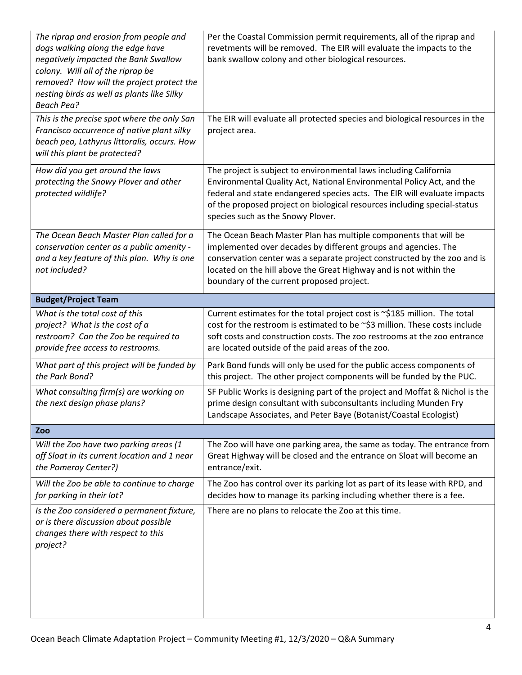| The riprap and erosion from people and<br>dogs walking along the edge have<br>negatively impacted the Bank Swallow<br>colony. Will all of the riprap be<br>removed? How will the project protect the<br>nesting birds as well as plants like Silky<br><b>Beach Pea?</b> | Per the Coastal Commission permit requirements, all of the riprap and<br>revetments will be removed. The EIR will evaluate the impacts to the<br>bank swallow colony and other biological resources.                                                                                                                                    |
|-------------------------------------------------------------------------------------------------------------------------------------------------------------------------------------------------------------------------------------------------------------------------|-----------------------------------------------------------------------------------------------------------------------------------------------------------------------------------------------------------------------------------------------------------------------------------------------------------------------------------------|
| This is the precise spot where the only San<br>Francisco occurrence of native plant silky<br>beach pea, Lathyrus littoralis, occurs. How<br>will this plant be protected?                                                                                               | The EIR will evaluate all protected species and biological resources in the<br>project area.                                                                                                                                                                                                                                            |
| How did you get around the laws<br>protecting the Snowy Plover and other<br>protected wildlife?                                                                                                                                                                         | The project is subject to environmental laws including California<br>Environmental Quality Act, National Environmental Policy Act, and the<br>federal and state endangered species acts. The EIR will evaluate impacts<br>of the proposed project on biological resources including special-status<br>species such as the Snowy Plover. |
| The Ocean Beach Master Plan called for a<br>conservation center as a public amenity -<br>and a key feature of this plan. Why is one<br>not included?                                                                                                                    | The Ocean Beach Master Plan has multiple components that will be<br>implemented over decades by different groups and agencies. The<br>conservation center was a separate project constructed by the zoo and is<br>located on the hill above the Great Highway and is not within the<br>boundary of the current proposed project.        |
| <b>Budget/Project Team</b>                                                                                                                                                                                                                                              |                                                                                                                                                                                                                                                                                                                                         |
| What is the total cost of this<br>project? What is the cost of a<br>restroom? Can the Zoo be required to<br>provide free access to restrooms.                                                                                                                           | Current estimates for the total project cost is ~\$185 million. The total<br>cost for the restroom is estimated to be ~\$3 million. These costs include<br>soft costs and construction costs. The zoo restrooms at the zoo entrance<br>are located outside of the paid areas of the zoo.                                                |
| What part of this project will be funded by<br>the Park Bond?                                                                                                                                                                                                           | Park Bond funds will only be used for the public access components of<br>this project. The other project components will be funded by the PUC.                                                                                                                                                                                          |
| What consulting firm(s) are working on<br>the next design phase plans?                                                                                                                                                                                                  | SF Public Works is designing part of the project and Moffat & Nichol is the<br>prime design consultant with subconsultants including Munden Fry<br>Landscape Associates, and Peter Baye (Botanist/Coastal Ecologist)                                                                                                                    |
| Zoo                                                                                                                                                                                                                                                                     |                                                                                                                                                                                                                                                                                                                                         |
| Will the Zoo have two parking areas (1<br>off Sloat in its current location and 1 near<br>the Pomeroy Center?)                                                                                                                                                          | The Zoo will have one parking area, the same as today. The entrance from<br>Great Highway will be closed and the entrance on Sloat will become an<br>entrance/exit.                                                                                                                                                                     |
| Will the Zoo be able to continue to charge<br>for parking in their lot?                                                                                                                                                                                                 | The Zoo has control over its parking lot as part of its lease with RPD, and<br>decides how to manage its parking including whether there is a fee.                                                                                                                                                                                      |
| Is the Zoo considered a permanent fixture,<br>or is there discussion about possible<br>changes there with respect to this<br>project?                                                                                                                                   | There are no plans to relocate the Zoo at this time.                                                                                                                                                                                                                                                                                    |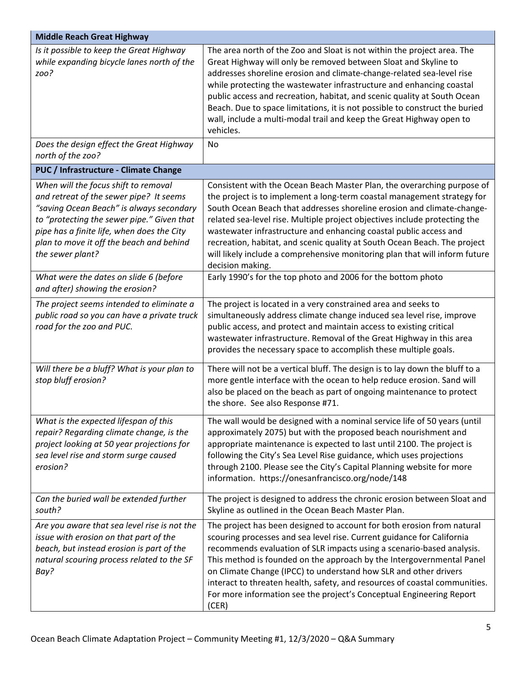| <b>Middle Reach Great Highway</b>                                                                                                                                                                                                                                                       |                                                                                                                                                                                                                                                                                                                                                                                                                                                                                                                                                                 |
|-----------------------------------------------------------------------------------------------------------------------------------------------------------------------------------------------------------------------------------------------------------------------------------------|-----------------------------------------------------------------------------------------------------------------------------------------------------------------------------------------------------------------------------------------------------------------------------------------------------------------------------------------------------------------------------------------------------------------------------------------------------------------------------------------------------------------------------------------------------------------|
| Is it possible to keep the Great Highway<br>while expanding bicycle lanes north of the<br>zoo?                                                                                                                                                                                          | The area north of the Zoo and Sloat is not within the project area. The<br>Great Highway will only be removed between Sloat and Skyline to<br>addresses shoreline erosion and climate-change-related sea-level rise<br>while protecting the wastewater infrastructure and enhancing coastal<br>public access and recreation, habitat, and scenic quality at South Ocean<br>Beach. Due to space limitations, it is not possible to construct the buried<br>wall, include a multi-modal trail and keep the Great Highway open to<br>vehicles.                     |
| Does the design effect the Great Highway<br>north of the zoo?                                                                                                                                                                                                                           | No                                                                                                                                                                                                                                                                                                                                                                                                                                                                                                                                                              |
| PUC / Infrastructure - Climate Change                                                                                                                                                                                                                                                   |                                                                                                                                                                                                                                                                                                                                                                                                                                                                                                                                                                 |
| When will the focus shift to removal<br>and retreat of the sewer pipe? It seems<br>"saving Ocean Beach" is always secondary<br>to "protecting the sewer pipe." Given that<br>pipe has a finite life, when does the City<br>plan to move it off the beach and behind<br>the sewer plant? | Consistent with the Ocean Beach Master Plan, the overarching purpose of<br>the project is to implement a long-term coastal management strategy for<br>South Ocean Beach that addresses shoreline erosion and climate-change-<br>related sea-level rise. Multiple project objectives include protecting the<br>wastewater infrastructure and enhancing coastal public access and<br>recreation, habitat, and scenic quality at South Ocean Beach. The project<br>will likely include a comprehensive monitoring plan that will inform future<br>decision making. |
| What were the dates on slide 6 (before<br>and after) showing the erosion?                                                                                                                                                                                                               | Early 1990's for the top photo and 2006 for the bottom photo                                                                                                                                                                                                                                                                                                                                                                                                                                                                                                    |
| The project seems intended to eliminate a<br>public road so you can have a private truck<br>road for the zoo and PUC.                                                                                                                                                                   | The project is located in a very constrained area and seeks to<br>simultaneously address climate change induced sea level rise, improve<br>public access, and protect and maintain access to existing critical<br>wastewater infrastructure. Removal of the Great Highway in this area<br>provides the necessary space to accomplish these multiple goals.                                                                                                                                                                                                      |
| Will there be a bluff? What is your plan to<br>stop bluff erosion?                                                                                                                                                                                                                      | There will not be a vertical bluff. The design is to lay down the bluff to a<br>more gentle interface with the ocean to help reduce erosion. Sand will<br>also be placed on the beach as part of ongoing maintenance to protect<br>the shore. See also Response #71.                                                                                                                                                                                                                                                                                            |
| What is the expected lifespan of this<br>repair? Regarding climate change, is the<br>project looking at 50 year projections for<br>sea level rise and storm surge caused<br>erosion?                                                                                                    | The wall would be designed with a nominal service life of 50 years (until<br>approximately 2075) but with the proposed beach nourishment and<br>appropriate maintenance is expected to last until 2100. The project is<br>following the City's Sea Level Rise guidance, which uses projections<br>through 2100. Please see the City's Capital Planning website for more<br>information. https://onesanfrancisco.org/node/148                                                                                                                                    |
| Can the buried wall be extended further<br>south?                                                                                                                                                                                                                                       | The project is designed to address the chronic erosion between Sloat and<br>Skyline as outlined in the Ocean Beach Master Plan.                                                                                                                                                                                                                                                                                                                                                                                                                                 |
| Are you aware that sea level rise is not the<br>issue with erosion on that part of the<br>beach, but instead erosion is part of the<br>natural scouring process related to the SF<br>Bay?                                                                                               | The project has been designed to account for both erosion from natural<br>scouring processes and sea level rise. Current guidance for California<br>recommends evaluation of SLR impacts using a scenario-based analysis.<br>This method is founded on the approach by the Intergovernmental Panel<br>on Climate Change (IPCC) to understand how SLR and other drivers<br>interact to threaten health, safety, and resources of coastal communities.<br>For more information see the project's Conceptual Engineering Report<br>(CER)                           |